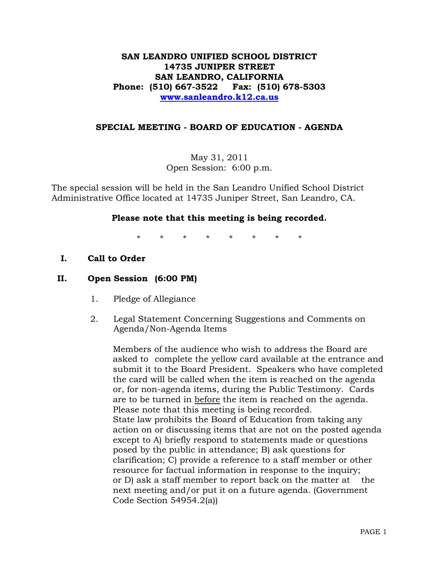# **SAN LEANDRO UNIFIED SCHOOL DISTRICT 14735 JUNIPER STREET SAN LEANDRO, CALIFORNIA Phone: (510) 667-3522 Fax: (510) 678-5303 [www.sanleandro.k12.ca.us](http://www.sanleandro.k12.ca.us/)**

# **SPECIAL MEETING - BOARD OF EDUCATION - AGENDA**

May 31, 2011 Open Session: 6:00 p.m.

The special session will be held in the San Leandro Unified School District Administrative Office located at 14735 Juniper Street, San Leandro, CA.

# **Please note that this meeting is being recorded.**

\* \* \* \* \* \* \* \*

**I. Call to Order**

# **II. Open Session (6:00 PM)**

- 1. Pledge of Allegiance
- 2. Legal Statement Concerning Suggestions and Comments on Agenda/Non-Agenda Items

Members of the audience who wish to address the Board are asked to complete the yellow card available at the entrance and submit it to the Board President. Speakers who have completed the card will be called when the item is reached on the agenda or, for non-agenda items, during the Public Testimony. Cards are to be turned in before the item is reached on the agenda. Please note that this meeting is being recorded. State law prohibits the Board of Education from taking any action on or discussing items that are not on the posted agenda except to A) briefly respond to statements made or questions posed by the public in attendance; B) ask questions for clarification; C) provide a reference to a staff member or other resource for factual information in response to the inquiry; or D) ask a staff member to report back on the matter at the next meeting and/or put it on a future agenda. (Government Code Section 54954.2(a))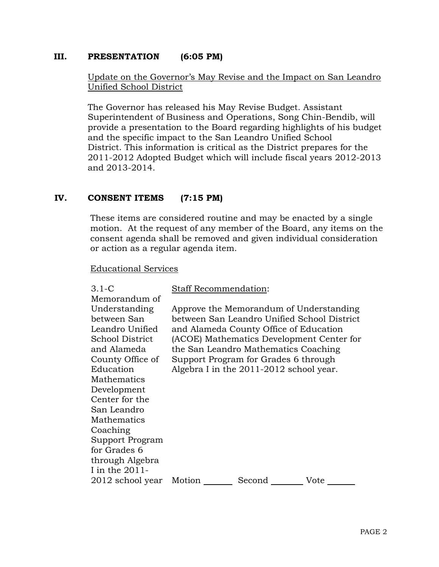# **III. PRESENTATION (6:05 PM)**

# Update on the Governor's May Revise and the Impact on San Leandro Unified School District

The Governor has released his May Revise Budget. Assistant Superintendent of Business and Operations, Song Chin-Bendib, will provide a presentation to the Board regarding highlights of his budget and the specific impact to the San Leandro Unified School District. This information is critical as the District prepares for the 2011-2012 Adopted Budget which will include fiscal years 2012-2013 and 2013-2014.

#### **IV. CONSENT ITEMS (7:15 PM)**

These items are considered routine and may be enacted by a single motion. At the request of any member of the Board, any items on the consent agenda shall be removed and given individual consideration or action as a regular agenda item.

#### Educational Services

| $3.1-C$          |                                             | Staff Recommendation:                   |      |
|------------------|---------------------------------------------|-----------------------------------------|------|
| Memorandum of    |                                             |                                         |      |
| Understanding    |                                             | Approve the Memorandum of Understanding |      |
| between San      | between San Leandro Unified School District |                                         |      |
| Leandro Unified  |                                             | and Alameda County Office of Education  |      |
| School District  | (ACOE) Mathematics Development Center for   |                                         |      |
| and Alameda      | the San Leandro Mathematics Coaching        |                                         |      |
| County Office of | Support Program for Grades 6 through        |                                         |      |
| Education        | Algebra I in the 2011-2012 school year.     |                                         |      |
| Mathematics      |                                             |                                         |      |
| Development      |                                             |                                         |      |
| Center for the   |                                             |                                         |      |
| San Leandro      |                                             |                                         |      |
| Mathematics      |                                             |                                         |      |
| Coaching         |                                             |                                         |      |
| Support Program  |                                             |                                         |      |
| for Grades 6     |                                             |                                         |      |
| through Algebra  |                                             |                                         |      |
| I in the 2011-   |                                             |                                         |      |
| 2012 school year | Motion                                      | Second                                  | Vote |